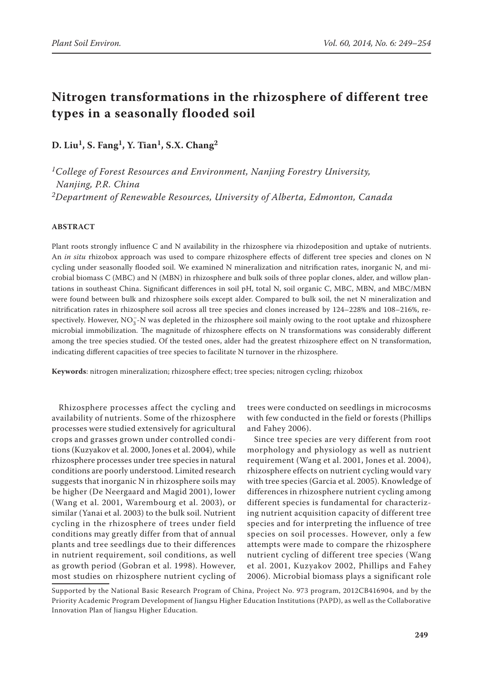# **Nitrogen transformations in the rhizosphere of different tree types in a seasonally flooded soil**

**D. Liu1, S. Fang1, Y. Tian1, S.X. Chang2**

*1College of Forest Resources and Environment, Nanjing Forestry University, Nanjing, P.R. China 2Department of Renewable Resources, University of Alberta, Edmonton, Canada*

## **ABSTRACT**

Plant roots strongly influence C and N availability in the rhizosphere via rhizodeposition and uptake of nutrients. An *in situ* rhizobox approach was used to compare rhizosphere effects of different tree species and clones on N cycling under seasonally flooded soil. We examined N mineralization and nitrification rates, inorganic N, and microbial biomass C (MBC) and N (MBN) in rhizosphere and bulk soils of three poplar clones, alder, and willow plantations in southeast China. Significant differences in soil pH, total N, soil organic C, MBC, MBN, and MBC/MBN were found between bulk and rhizosphere soils except alder. Compared to bulk soil, the net N mineralization and nitrification rates in rhizosphere soil across all tree species and clones increased by 124–228% and 108–216%, respectively. However, NO<sub>3</sub>-N was depleted in the rhizosphere soil mainly owing to the root uptake and rhizosphere microbial immobilization. The magnitude of rhizosphere effects on N transformations was considerably different among the tree species studied. Of the tested ones, alder had the greatest rhizosphere effect on N transformation, indicating different capacities of tree species to facilitate N turnover in the rhizosphere.

**Keywords**: nitrogen mineralization; rhizosphere effect; tree species; nitrogen cycling; rhizobox

Rhizosphere processes affect the cycling and availability of nutrients. Some of the rhizosphere processes were studied extensively for agricultural crops and grasses grown under controlled conditions (Kuzyakov et al. 2000, Jones et al. 2004), while rhizosphere processes under tree species in natural conditions are poorly understood. Limited research suggests that inorganic N in rhizosphere soils may be higher (De Neergaard and Magid 2001), lower (Wang et al. 2001, Warembourg et al. 2003), or similar (Yanai et al. 2003) to the bulk soil. Nutrient cycling in the rhizosphere of trees under field conditions may greatly differ from that of annual plants and tree seedlings due to their differences in nutrient requirement, soil conditions, as well as growth period (Gobran et al. 1998). However, most studies on rhizosphere nutrient cycling of

trees were conducted on seedlings in microcosms with few conducted in the field or forests (Phillips and Fahey 2006).

Since tree species are very different from root morphology and physiology as well as nutrient requirement (Wang et al. 2001, Jones et al. 2004), rhizosphere effects on nutrient cycling would vary with tree species (Garcia et al. 2005). Knowledge of differences in rhizosphere nutrient cycling among different species is fundamental for characterizing nutrient acquisition capacity of different tree species and for interpreting the influence of tree species on soil processes. However, only a few attempts were made to compare the rhizosphere nutrient cycling of different tree species (Wang et al. 2001, Kuzyakov 2002, Phillips and Fahey 2006). Microbial biomass plays a significant role

Supported by the National Basic Research Program of China, Project No. 973 program, 2012CB416904, and by the Priority Academic Program Development of Jiangsu Higher Education Institutions (PAPD), as well as the Collaborative Innovation Plan of Jiangsu Higher Education.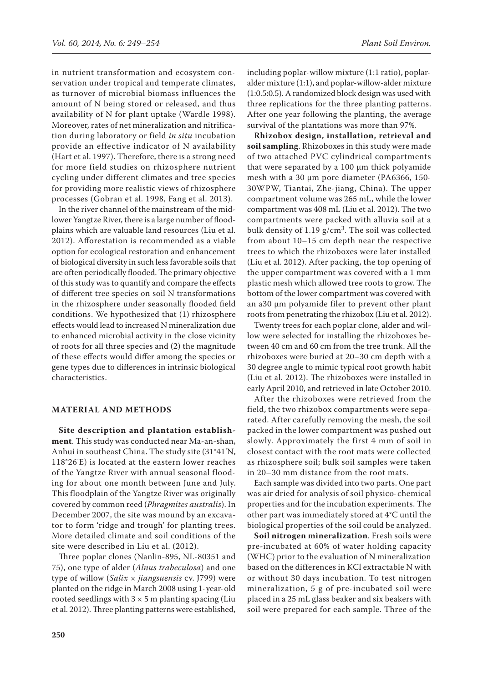in nutrient transformation and ecosystem conservation under tropical and temperate climates, as turnover of microbial biomass influences the amount of N being stored or released, and thus availability of N for plant uptake (Wardle 1998). Moreover, rates of net mineralization and nitrification during laboratory or field *in situ* incubation provide an effective indicator of N availability (Hart et al. 1997). Therefore, there is a strong need for more field studies on rhizosphere nutrient cycling under different climates and tree species for providing more realistic views of rhizosphere processes (Gobran et al. 1998, Fang et al. 2013).

In the river channel of the mainstream of the midlower Yangtze River, there is a large number of floodplains which are valuable land resources (Liu et al. 2012). Afforestation is recommended as a viable option for ecological restoration and enhancement of biological diversity in such less favorable soils that are often periodically flooded. The primary objective of this study was to quantify and compare the effects of different tree species on soil N transformations in the rhizosphere under seasonally flooded field conditions. We hypothesized that (1) rhizosphere effects would lead to increased N mineralization due to enhanced microbial activity in the close vicinity of roots for all three species and (2) the magnitude of these effects would differ among the species or gene types due to differences in intrinsic biological characteristics.

## **MATERIAL AND METHODS**

**Site description and plantation establishment**. This study was conducted near Ma-an-shan, Anhui in southeast China. The study site (31°41'N, 118°26'E) is located at the eastern lower reaches of the Yangtze River with annual seasonal flooding for about one month between June and July. This floodplain of the Yangtze River was originally covered by common reed (*Phragmites australis*). In December 2007, the site was mound by an excavator to form 'ridge and trough' for planting trees. More detailed climate and soil conditions of the site were described in Liu et al. (2012).

Three poplar clones (Nanlin-895, NL-80351 and 75), one type of alder (*Alnus trabeculosa*) and one type of willow (*Salix × jiangsuensis* cv. J799) were planted on the ridge in March 2008 using 1-year-old rooted seedlings with  $3 \times 5$  m planting spacing (Liu et al. 2012). Three planting patterns were established, including poplar-willow mixture (1:1 ratio), poplaralder mixture (1:1), and poplar-willow-alder mixture (1:0.5:0.5). A randomized block design was used with three replications for the three planting patterns. After one year following the planting, the average survival of the plantations was more than 97%.

**Rhizobox design, installation, retrieval and soil sampling**. Rhizoboxes in this study were made of two attached PVC cylindrical compartments that were separated by a 100 μm thick polyamide mesh with a 30 μm pore diameter (PA6366, 150-30WPW, Tiantai, Zhe-jiang, China). The upper compartment volume was 265 mL, while the lower compartment was 408 mL (Liu et al. 2012). The two compartments were packed with alluvia soil at a bulk density of 1.19  $g/cm<sup>3</sup>$ . The soil was collected from about 10–15 cm depth near the respective trees to which the rhizoboxes were later installed (Liu et al. 2012). After packing, the top opening of the upper compartment was covered with a 1 mm plastic mesh which allowed tree roots to grow. The bottom of the lower compartment was covered with an a30 μm polyamide filer to prevent other plant roots from penetrating the rhizobox (Liu et al. 2012).

Twenty trees for each poplar clone, alder and willow were selected for installing the rhizoboxes between 40 cm and 60 cm from the tree trunk. All the rhizoboxes were buried at 20–30 cm depth with a 30 degree angle to mimic typical root growth habit (Liu et al. 2012). The rhizoboxes were installed in early April 2010, and retrieved in late October 2010.

After the rhizoboxes were retrieved from the field, the two rhizobox compartments were separated. After carefully removing the mesh, the soil packed in the lower compartment was pushed out slowly. Approximately the first 4 mm of soil in closest contact with the root mats were collected as rhizosphere soil; bulk soil samples were taken in 20–30 mm distance from the root mats.

Each sample was divided into two parts. One part was air dried for analysis of soil physico-chemical properties and for the incubation experiments. The other part was immediately stored at 4°C until the biological properties of the soil could be analyzed.

**Soil nitrogen mineralization**. Fresh soils were pre-incubated at 60% of water holding capacity (WHC) prior to the evaluation of N mineralization based on the differences in KCl extractable N with or without 30 days incubation. To test nitrogen mineralization, 5 g of pre-incubated soil were placed in a 25 mL glass beaker and six beakers with soil were prepared for each sample. Three of the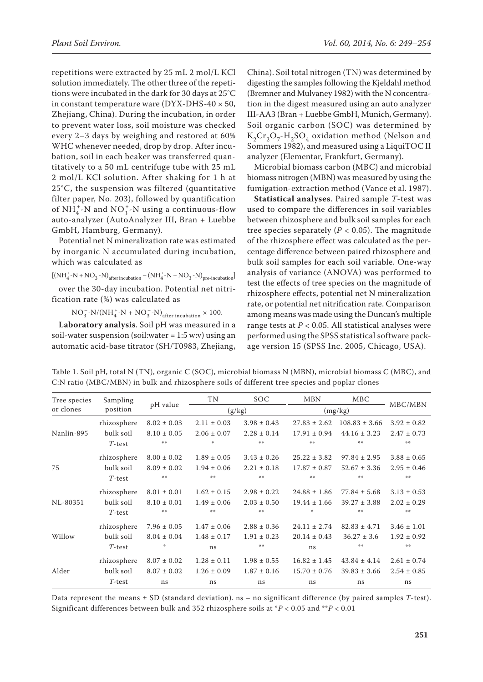repetitions were extracted by 25 mL 2 mol/L KCl solution immediately. The other three of the repetitions were incubated in the dark for 30 days at 25°C in constant temperature ware ( $DYX-DHS-40 \times 50$ , Zhejiang, China). During the incubation, in order to prevent water loss, soil moisture was checked every 2–3 days by weighing and restored at 60% WHC whenever needed, drop by drop. After incubation, soil in each beaker was transferred quantitatively to a 50 mL centrifuge tube with 25 mL 2 mol/L KCl solution. After shaking for 1 h at 25°C, the suspension was filtered (quantitative filter paper, No. 203), followed by quantification of  $NH_4^+$ -N and  $NO_3^+$ -N using a continuous-flow auto-analyzer (AutoAnalyzer III, Bran + Luebbe GmbH, Hamburg, Germany).

Potential net N mineralization rate was estimated by inorganic N accumulated during incubation, which was calculated as

$$
{\left[ {\left( {NH_4^{+} - N + NO_3^{ -} - N} \right)_{{\rm after\,in cubation}} - \left( {NH_4^{+} - N + NO_3^{ -} - N} \right)_{pre\text{-incubation}} } \right]}
$$

over the 30-day incubation. Potential net nitrification rate (%) was calculated as

 $NO_3^-$ -N/(NH<sup>+</sup><sub>4</sub>-N + NO<sub>3</sub>-N)<sub>after incubation</sub> × 100.

**Laboratory analysis**. Soil pH was measured in a soil-water suspension (soil:water  $= 1:5$  w:v) using an automatic acid-base titrator (SH/T0983, Zhejiang,

China). Soil total nitrogen (TN) was determined by digesting the samples following the Kjeldahl method (Bremner and Mulvaney 1982) with the N concentration in the digest measured using an auto analyzer III-AA3 (Bran + Luebbe GmbH, Munich, Germany). Soil organic carbon (SOC) was determined by  $K_2Cr_2O_7-H_2SO_4$  oxidation method (Nelson and Sommers 1982), and measured using a LiquiTOC II analyzer (Elementar, Frankfurt, Germany).

Microbial biomass carbon (MBC) and microbial biomass nitrogen (MBN) was measured by using the fumigation-extraction method (Vance et al. 1987).

**Statistical analyses**. Paired sample *T*-test was used to compare the differences in soil variables between rhizosphere and bulk soil samples for each tree species separately ( $P < 0.05$ ). The magnitude of the rhizosphere effect was calculated as the percentage difference between paired rhizosphere and bulk soil samples for each soil variable. One-way analysis of variance (ANOVA) was performed to test the effects of tree species on the magnitude of rhizosphere effects, potential net N mineralization rate, or potential net nitrification rate. Comparison among means was made using the Duncan's multiple range tests at  $P < 0.05$ . All statistical analyses were performed using the SPSS statistical software package version 15 (SPSS Inc. 2005, Chicago, USA).

Table 1. Soil pH, total N (TN), organic C (SOC), microbial biomass N (MBN), microbial biomass C (MBC), and C:N ratio (MBC/MBN) in bulk and rhizosphere soils of different tree species and poplar clones

| Tree species<br>or clones | Sampling<br>position | pH value        | TN              | <b>SOC</b>      | <b>MBN</b>       | <b>MBC</b>        |                 |
|---------------------------|----------------------|-----------------|-----------------|-----------------|------------------|-------------------|-----------------|
|                           |                      |                 | (g/kg)          |                 | (mg/kg)          |                   | MBC/MBN         |
| Nanlin-895                | rhizosphere          | $8.02 \pm 0.03$ | $2.11 \pm 0.03$ | $3.98 \pm 0.43$ | $27.83 \pm 2.62$ | $108.83 \pm 3.66$ | $3.92 \pm 0.82$ |
|                           | bulk soil            | $8.10 \pm 0.05$ | $2.06 \pm 0.07$ | $2.28 \pm 0.14$ | $17.91 \pm 0.94$ | $44.16 \pm 3.23$  | $2.47 \pm 0.73$ |
|                           | $T$ -test            | 操操              | 崇               | 染染              | 染染               | 操造                | 染染              |
| 75                        | rhizosphere          | $8.00 \pm 0.02$ | $1.89 \pm 0.05$ | $3.43 \pm 0.26$ | $25.22 \pm 3.82$ | $97.84 \pm 2.95$  | $3.88 \pm 0.65$ |
|                           | bulk soil            | $8.09 \pm 0.02$ | $1.94 \pm 0.06$ | $2.21 \pm 0.18$ | $17.87 \pm 0.87$ | $52.67 \pm 3.36$  | $2.95 \pm 0.46$ |
|                           | $T$ -test            | 染染              | 染染              | 染染              | 染染               | 染染                | 染染              |
| NL-80351                  | rhizosphere          | $8.01 \pm 0.01$ | $1.62 \pm 0.15$ | $2.98 \pm 0.22$ | $24.88 \pm 1.86$ | $77.84 \pm 5.68$  | $3.13 \pm 0.53$ |
|                           | bulk soil            | $8.10 \pm 0.01$ | $1.49 \pm 0.06$ | $2.03 \pm 0.50$ | $19.44 \pm 1.66$ | $39.27 \pm 3.88$  | $2.02 \pm 0.29$ |
|                           | $T$ -test            | 操操              | 染染              | 操作              | 崇                | 操操                | 操操              |
| Willow                    | rhizosphere          | $7.96 \pm 0.05$ | $1.47 \pm 0.06$ | $2.88 \pm 0.36$ | $24.11 \pm 2.74$ | $82.83 \pm 4.71$  | $3.46 \pm 1.01$ |
|                           | bulk soil            | $8.04 \pm 0.04$ | $1.48 \pm 0.17$ | $1.91 \pm 0.23$ | $20.14 \pm 0.43$ | $36.27 \pm 3.6$   | $1.92 \pm 0.92$ |
|                           | $T$ -test            | ∗               | ns              | 染染              | ns               | 染染                | 操操              |
| Alder                     | rhizosphere          | $8.07 \pm 0.02$ | $1.28 \pm 0.11$ | $1.98 \pm 0.55$ | $16.82 \pm 1.45$ | $43.84 \pm 4.14$  | $2.61 \pm 0.74$ |
|                           | bulk soil            | $8.07 \pm 0.02$ | $1.26 \pm 0.09$ | $1.87 \pm 0.16$ | $15.70 \pm 0.76$ | $39.83 \pm 3.66$  | $2.54 \pm 0.85$ |
|                           | $T$ -test            | ns              | ns              | ns              | ns               | ns                | ns              |

Data represent the means ± SD (standard deviation). ns – no significant difference (by paired samples *T*-test). Significant differences between bulk and 352 rhizosphere soils at \**P* < 0.05 and \*\**P* < 0.01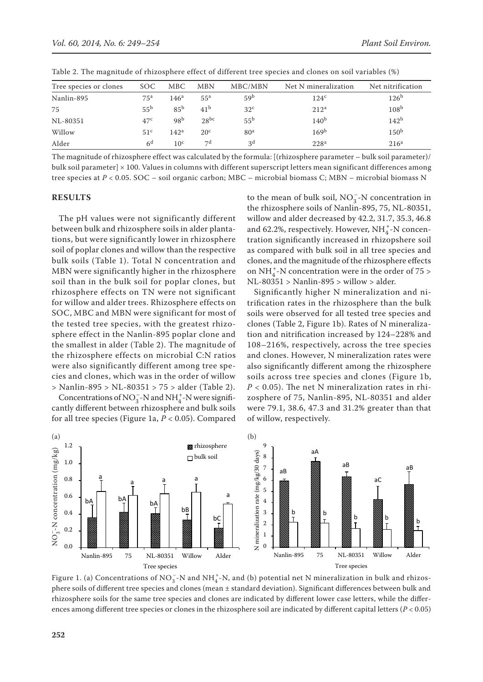| Tree species or clones | <b>SOC</b>      | <b>MBC</b>       | <b>MBN</b>      | MBC/MBN         | Net N mineralization | Net nitrification |
|------------------------|-----------------|------------------|-----------------|-----------------|----------------------|-------------------|
| Nanlin-895             | 75 <sup>a</sup> | 146 <sup>a</sup> | 55 <sup>a</sup> | 59 <sup>b</sup> | 124 <sup>c</sup>     | 126 <sup>b</sup>  |
| 75                     | 55 <sup>b</sup> | 85 <sup>b</sup>  | 41 <sup>b</sup> | 32 <sup>c</sup> | 212 <sup>a</sup>     | 108 <sup>b</sup>  |
| NL-80351               | 47c             | 98 <sup>b</sup>  | $28^{bc}$       | 55 <sup>b</sup> | 140 <sup>b</sup>     | 142 <sup>b</sup>  |
| Willow                 | 51 <sup>c</sup> | 142 <sup>a</sup> | 20 <sup>c</sup> | 80 <sup>a</sup> | 169 <sup>b</sup>     | 150 <sup>b</sup>  |
| Alder                  | 6 <sup>d</sup>  | 10 <sup>c</sup>  | 7d              | 3 <sup>d</sup>  | 228 <sup>a</sup>     | 216 <sup>a</sup>  |

Table 2. The magnitude of rhizosphere effect of different tree species and clones on soil variables (%)

The magnitude of rhizosphere effect was calculated by the formula: [(rhizosphere parameter – bulk soil parameter)/ bulk soil parameter]  $\times$  100. Values in columns with different superscript letters mean significant differences among tree species at *P* < 0.05. SOC – soil organic carbon; MBC – microbial biomass C; MBN – microbial biomass N

#### **RESULTS**

The pH values were not significantly different between bulk and rhizosphere soils in alder plantations, but were significantly lower in rhizosphere soil of poplar clones and willow than the respective bulk soils (Table 1). Total N concentration and MBN were significantly higher in the rhizosphere soil than in the bulk soil for poplar clones, but rhizosphere effects on TN were not significant for willow and alder trees. Rhizosphere effects on SOC, MBC and MBN were significant for most of the tested tree species, with the greatest rhizosphere effect in the Nanlin-895 poplar clone and the smallest in alder (Table 2). The magnitude of the rhizosphere effects on microbial C:N ratios were also significantly different among tree species and clones, which was in the order of willow > Nanlin-895 > NL-80351 > 75 > alder (Table 2).

Concentrations of NO<sub>3</sub> - N and NH<sub>4</sub><sup>-</sup>-N were significantly different between rhizosphere and bulk soils for all tree species (Figure 1a, *P* < 0.05). Compared

to the mean of bulk soil,  $NO<sub>3</sub><sup>-</sup>-N$  concentration in the rhizosphere soils of Nanlin-895, 75, NL-80351, willow and alder decreased by 42.2, 31.7, 35.3, 46.8 and 62.2%, respectively. However,  $NH_4^+$ -N concentration significantly increased in rhizopshere soil as compared with bulk soil in all tree species and clones, and the magnitude of the rhizosphere effects on  $NH_4^+$ -N concentration were in the order of 75 > NL-80351 > Nanlin-895 > willow > alder.

Significantly higher N mineralization and nitrification rates in the rhizosphere than the bulk soils were observed for all tested tree species and clones (Table 2, Figure 1b). Rates of N mineralization and nitrification increased by 124–228% and 108–216%, respectively, across the tree species and clones. However, N mineralization rates were also significantly different among the rhizosphere soils across tree species and clones (Figure 1b,  $P < 0.05$ ). The net N mineralization rates in rhizosphere of 75, Nanlin-895, NL-80351 and alder were 79.1, 38.6, 47.3 and 31.2% greater than that of willow, respectively.



Figure 1. (a) Concentrations of  $NO_3^-$ -N and  $NH_4^+$ -N, and (b) potential net N mineralization in bulk and rhizosphere soils of different tree species and clones (mean ± standard deviation). Significant differences between bulk and rhizosphere soils for the same tree species and clones are indicated by different lower case letters, while the differences among different tree species or clones in the rhizosphere soil are indicated by different capital letters (*P* < 0.05)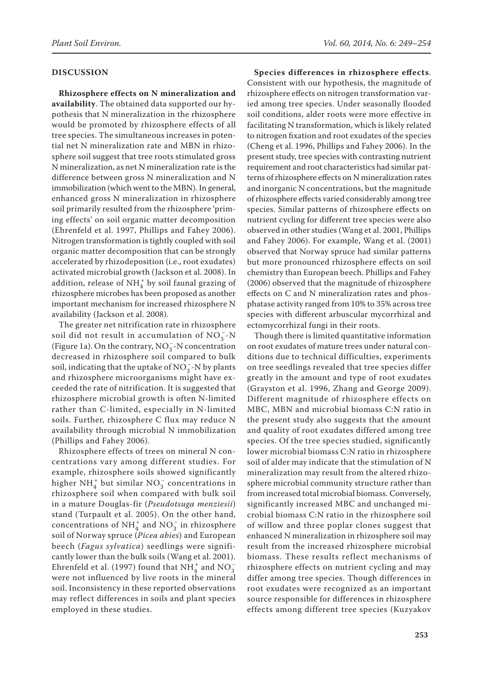#### **DISCUSSION**

**Rhizosphere effects on N mineralization and availability**. The obtained data supported our hypothesis that N mineralization in the rhizosphere would be promoted by rhizosphere effects of all tree species. The simultaneous increases in potential net N mineralization rate and MBN in rhizosphere soil suggest that tree roots stimulated gross N mineralization, as net N mineralization rate is the difference between gross N mineralization and N immobilization (which went to the MBN). In general, enhanced gross N mineralization in rhizosphere soil primarily resulted from the rhizosphere 'priming effects' on soil organic matter decomposition (Ehrenfeld et al. 1997, Phillips and Fahey 2006). Nitrogen transformation is tightly coupled with soil organic matter decomposition that can be strongly accelerated by rhizodeposition (i.e., root exudates) activated microbial growth (Jackson et al. 2008). In addition, release of  $NH<sub>4</sub><sup>+</sup>$  by soil faunal grazing of rhizosphere microbes has been proposed as another important mechanism for increased rhizosphere N availability (Jackson et al. 2008).

The greater net nitrification rate in rhizosphere soil did not result in accumulation of  $NO<sub>3</sub><sup>-</sup>-N$ (Figure 1a). On the contrary,  $NO_3^-$ -N concentration decreased in rhizosphere soil compared to bulk soil, indicating that the uptake of NO<sub>3</sub><sup>-</sup>-N by plants and rhizosphere microorganisms might have exceeded the rate of nitrification. It is suggested that rhizosphere microbial growth is often N-limited rather than C-limited, especially in N-limited soils. Further, rhizosphere C flux may reduce N availability through microbial N immobilization (Phillips and Fahey 2006).

Rhizosphere effects of trees on mineral N concentrations vary among different studies. For example, rhizosphere soils showed significantly higher  $NH_4^+$  but similar  $NO_3^-$  concentrations in rhizosphere soil when compared with bulk soil in a mature Douglas-fir (*Pseudotsuga menziesii*) stand (Turpault et al. 2005). On the other hand, concentrations of NH<sup>+</sup><sub>4</sub> and NO<sub>3</sub> in rhizosphere soil of Norway spruce (*Picea abies*) and European beech (*Fagus sylvatica*) seedlings were significantly lower than the bulk soils (Wang et al. 2001). Ehrenfeld et al. (1997) found that  $NH_4^+$  and  $NO_3^$ were not influenced by live roots in the mineral soil. Inconsistency in these reported observations may reflect differences in soils and plant species employed in these studies.

**Species differences in rhizosphere effects**. Consistent with our hypothesis, the magnitude of rhizosphere effects on nitrogen transformation varied among tree species. Under seasonally flooded soil conditions, alder roots were more effective in facilitating N transformation, which is likely related to nitrogen fixation and root exudates of the species (Cheng et al. 1996, Phillips and Fahey 2006). In the present study, tree species with contrasting nutrient requirement and root characteristics had similar patterns of rhizosphere effects on N mineralization rates and inorganic N concentrations, but the magnitude of rhizosphere effects varied considerably among tree species. Similar patterns of rhizosphere effects on nutrient cycling for different tree species were also observed in other studies (Wang et al. 2001, Phillips and Fahey 2006). For example, Wang et al. (2001) observed that Norway spruce had similar patterns but more pronounced rhizosphere effects on soil chemistry than European beech. Phillips and Fahey (2006) observed that the magnitude of rhizosphere effects on C and N mineralization rates and phosphatase activity ranged from 10% to 35% across tree species with different arbuscular mycorrhizal and ectomycorrhizal fungi in their roots.

Though there is limited quantitative information on root exudates of mature trees under natural conditions due to technical difficulties, experiments on tree seedlings revealed that tree species differ greatly in the amount and type of root exudates (Grayston et al. 1996, Zhang and George 2009). Different magnitude of rhizosphere effects on MBC, MBN and microbial biomass C:N ratio in the present study also suggests that the amount and quality of root exudates differed among tree species. Of the tree species studied, significantly lower microbial biomass C:N ratio in rhizosphere soil of alder may indicate that the stimulation of N mineralization may result from the altered rhizosphere microbial community structure rather than from increased total microbial biomass. Conversely, significantly increased MBC and unchanged microbial biomass C:N ratio in the rhizosphere soil of willow and three poplar clones suggest that enhanced N mineralization in rhizosphere soil may result from the increased rhizosphere microbial biomass. These results reflect mechanisms of rhizosphere effects on nutrient cycling and may differ among tree species. Though differences in root exudates were recognized as an important source responsible for differences in rhizosphere effects among different tree species (Kuzyakov